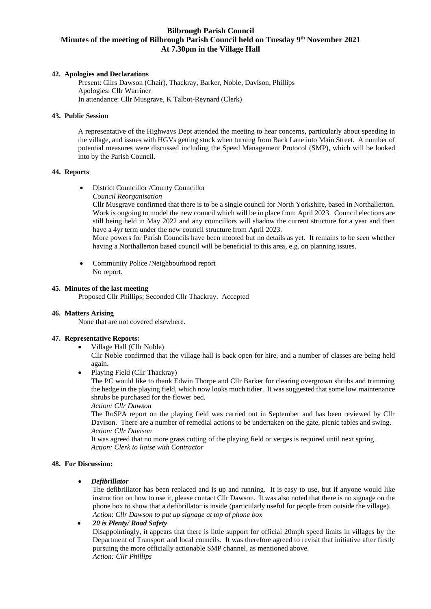# **Bilbrough Parish Council Minutes of the meeting of Bilbrough Parish Council held on Tuesday 9 th November 2021 At 7.30pm in the Village Hall**

### **42. Apologies and Declarations**

Present: Cllrs Dawson (Chair), Thackray, Barker, Noble, Davison, Phillips Apologies: Cllr Warriner In attendance: Cllr Musgrave, K Talbot-Reynard (Clerk)

### **43. Public Session**

A representative of the Highways Dept attended the meeting to hear concerns, particularly about speeding in the village, and issues with HGVs getting stuck when turning from Back Lane into Main Street. A number of potential measures were discussed including the Speed Management Protocol (SMP), which will be looked into by the Parish Council.

### **44. Reports**

• District Councillor /County Councillor *Council Reorganisation*

Cllr Musgrave confirmed that there is to be a single council for North Yorkshire, based in Northallerton. Work is ongoing to model the new council which will be in place from April 2023. Council elections are still being held in May 2022 and any councillors will shadow the current structure for a year and then have a 4yr term under the new council structure from April 2023.

More powers for Parish Councils have been mooted but no details as yet. It remains to be seen whether having a Northallerton based council will be beneficial to this area, e.g. on planning issues.

• Community Police /Neighbourhood report No report.

### **45. Minutes of the last meeting**

Proposed Cllr Phillips; Seconded Cllr Thackray. Accepted

#### **46. Matters Arising**

None that are not covered elsewhere.

### **47. Representative Reports:**

- Village Hall (Cllr Noble) Cllr Noble confirmed that the village hall is back open for hire, and a number of classes are being held again.
- Playing Field (Cllr Thackray)

The PC would like to thank Edwin Thorpe and Cllr Barker for clearing overgrown shrubs and trimming the hedge in the playing field, which now looks much tidier. It was suggested that some low maintenance shrubs be purchased for the flower bed.

*Action: Cllr Dawson*

The RoSPA report on the playing field was carried out in September and has been reviewed by Cllr Davison. There are a number of remedial actions to be undertaken on the gate, picnic tables and swing. *Action: Cllr Davison*

It was agreed that no more grass cutting of the playing field or verges is required until next spring*. Action: Clerk to liaise with Contractor*

#### **48. For Discussion:**

### • *Defibrillator*

The defibrillator has been replaced and is up and running. It is easy to use, but if anyone would like instruction on how to use it, please contact Cllr Dawson. It was also noted that there is no signage on the phone box to show that a defibrillator is inside (particularly useful for people from outside the village). *Action*: *Cllr Dawson to put up signage at top of phone box*

### • *20 is Plenty/ Road Safety*

Disappointingly, it appears that there is little support for official 20mph speed limits in villages by the Department of Transport and local councils. It was therefore agreed to revisit that initiative after firstly pursuing the more officially actionable SMP channel, as mentioned above. *Action: Cllr Phillips*